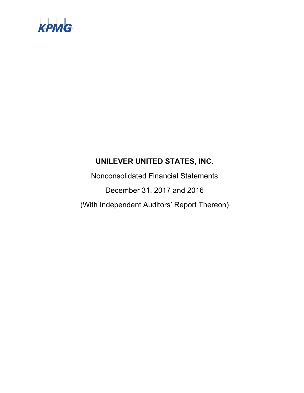

Nonconsolidated Financial Statements December 31, 2017 and 2016 (With Independent Auditors' Report Thereon)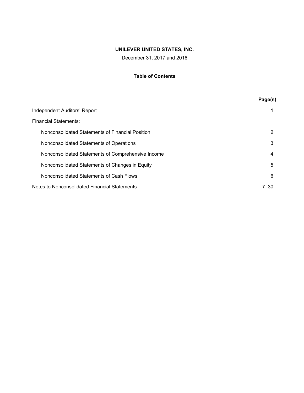December 31, 2017 and 2016

# **Table of Contents**

|                                                    | Page(s) |
|----------------------------------------------------|---------|
| Independent Auditors' Report                       |         |
| <b>Financial Statements:</b>                       |         |
| Nonconsolidated Statements of Financial Position   | 2       |
| Nonconsolidated Statements of Operations           | 3       |
| Nonconsolidated Statements of Comprehensive Income | 4       |
| Nonconsolidated Statements of Changes in Equity    | 5       |
| Nonconsolidated Statements of Cash Flows           | 6       |
| Notes to Nonconsolidated Financial Statements      | 7–30    |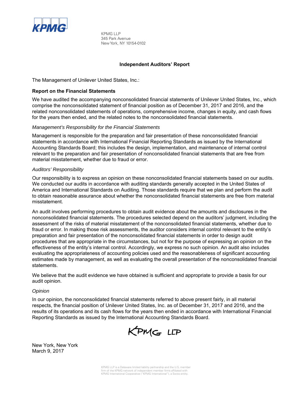

KPMG LLP 345 Park Avenue New York, NY 10154-0102

## **Independent Auditors' Report**

The Management of Unilever United States, Inc.:

#### **Report on the Financial Statements**

We have audited the accompanying nonconsolidated financial statements of Unilever United States, Inc., which comprise the nonconsolidated statement of financial position as of December 31, 2017 and 2016, and the related nonconsolidated statements of operations, comprehensive income, changes in equity, and cash flows for the years then ended, and the related notes to the nonconsolidated financial statements.

#### *Management's Responsibility for the Financial Statements*

Management is responsible for the preparation and fair presentation of these nonconsolidated financial statements in accordance with International Financial Reporting Standards as issued by the International Accounting Standards Board; this includes the design, implementation, and maintenance of internal control relevant to the preparation and fair presentation of nonconsolidated financial statements that are free from material misstatement, whether due to fraud or error.

#### *Auditors' Responsibility*

Our responsibility is to express an opinion on these nonconsolidated financial statements based on our audits. We conducted our audits in accordance with auditing standards generally accepted in the United States of America and International Standards on Auditing. Those standards require that we plan and perform the audit to obtain reasonable assurance about whether the nonconsolidated financial statements are free from material misstatement.

An audit involves performing procedures to obtain audit evidence about the amounts and disclosures in the nonconsolidated financial statements. The procedures selected depend on the auditors' judgment, including the assessment of the risks of material misstatement of the nonconsolidated financial statements, whether due to fraud or error. In making those risk assessments, the auditor considers internal control relevant to the entity's preparation and fair presentation of the nonconsolidated financial statements in order to design audit procedures that are appropriate in the circumstances, but not for the purpose of expressing an opinion on the effectiveness of the entity's internal control. Accordingly, we express no such opinion. An audit also includes evaluating the appropriateness of accounting policies used and the reasonableness of significant accounting estimates made by management, as well as evaluating the overall presentation of the nonconsolidated financial statements.

We believe that the audit evidence we have obtained is sufficient and appropriate to provide a basis for our audit opinion.

#### *Opinion*

In our opinion, the nonconsolidated financial statements referred to above present fairly, in all material respects, the financial position of Unilever United States, Inc. as of December 31, 2017 and 2016, and the results of its operations and its cash flows for the years then ended in accordance with International Financial Reporting Standards as issued by the International Accounting Standards Board.



New York, New York March 9, 2017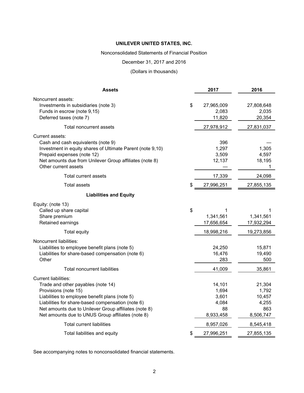#### Nonconsolidated Statements of Financial Position

## December 31, 2017 and 2016

# (Dollars in thousands)

| <b>Assets</b>                                                                                                                                                                                                                                                                                                  | 2017                                                 | 2016                                                   |
|----------------------------------------------------------------------------------------------------------------------------------------------------------------------------------------------------------------------------------------------------------------------------------------------------------------|------------------------------------------------------|--------------------------------------------------------|
| Noncurrent assets:<br>Investments in subsidiaries (note 3)<br>Funds in escrow (note 9,15)<br>Deferred taxes (note 7)                                                                                                                                                                                           | \$<br>27,965,009<br>2,083<br>11,820                  | 27,808,648<br>2,035<br>20,354                          |
| Total noncurrent assets                                                                                                                                                                                                                                                                                        | 27,978,912                                           | 27,831,037                                             |
| Current assets:<br>Cash and cash equivalents (note 9)<br>Investment in equity shares of Ultimate Parent (note 9,10)<br>Prepaid expenses (note 12)<br>Net amounts due from Unilever Group affiliates (note 8)<br>Other current assets                                                                           | 396<br>1,297<br>3,509<br>12,137                      | 1,305<br>4,597<br>18,195<br>1                          |
| Total current assets                                                                                                                                                                                                                                                                                           | 17,339                                               | 24,098                                                 |
| <b>Total assets</b>                                                                                                                                                                                                                                                                                            | \$<br>27,996,251                                     | 27,855,135                                             |
| <b>Liabilities and Equity</b>                                                                                                                                                                                                                                                                                  |                                                      |                                                        |
| Equity: (note 13)<br>Called up share capital<br>Share premium<br>Retained earnings                                                                                                                                                                                                                             | \$<br>1<br>1,341,561<br>17,656,654                   | 1<br>1,341,561<br>17,932,294                           |
| <b>Total equity</b>                                                                                                                                                                                                                                                                                            | 18,998,216                                           | 19,273,856                                             |
| Noncurrent liabilities:<br>Liabilities to employee benefit plans (note 5)<br>Liabilities for share-based compensation (note 6)<br>Other<br><b>Total noncurrent liabilities</b>                                                                                                                                 | 24,250<br>16,476<br>283<br>41,009                    | 15,871<br>19,490<br>500<br>35,861                      |
| <b>Current liabilities:</b><br>Trade and other payables (note 14)<br>Provisions (note 15)<br>Liabilities to employee benefit plans (note 5)<br>Liabilities for share-based compensation (note 6)<br>Net amounts due to Unilever Group affiliates (note 8)<br>Net amounts due to UNUS Group affiliates (note 8) | 14,101<br>1,694<br>3,601<br>4,084<br>88<br>8,933,458 | 21,304<br>1,792<br>10,457<br>4,255<br>863<br>8,506,747 |
| <b>Total current liabilities</b>                                                                                                                                                                                                                                                                               | 8,957,026                                            | 8,545,418                                              |
| Total liabilities and equity                                                                                                                                                                                                                                                                                   | \$<br>27,996,251                                     | 27,855,135                                             |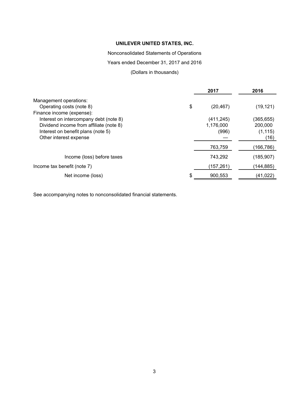Nonconsolidated Statements of Operations

Years ended December 31, 2017 and 2016

# (Dollars in thousands)

|                                         | 2017            | 2016       |
|-----------------------------------------|-----------------|------------|
| Management operations:                  |                 |            |
| Operating costs (note 8)                | \$<br>(20, 467) | (19, 121)  |
| Finance income (expense):               |                 |            |
| Interest on intercompany debt (note 8)  | (411, 245)      | (365,655)  |
| Dividend income from affiliate (note 8) | 1,176,000       | 200,000    |
| Interest on benefit plans (note 5)      | (996)           | (1, 115)   |
| Other interest expense                  |                 | (16)       |
|                                         | 763,759         | (166,786)  |
| Income (loss) before taxes              | 743,292         | (185,907)  |
| Income tax benefit (note 7)             | (157, 261)      | (144, 885) |
| Net income (loss)                       | \$<br>900.553   | (41,022)   |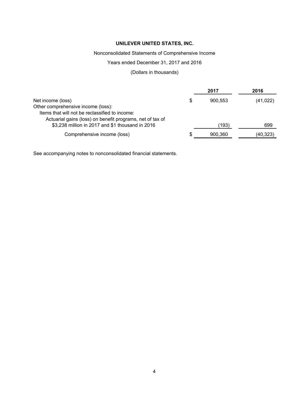# Nonconsolidated Statements of Comprehensive Income

# Years ended December 31, 2017 and 2016

# (Dollars in thousands)

|                                                           | 2017          | 2016      |
|-----------------------------------------------------------|---------------|-----------|
| Net income (loss)                                         | \$<br>900.553 | (41, 022) |
| Other comprehensive income (loss):                        |               |           |
| Items that will not be reclassified to income:            |               |           |
| Actuarial gains (loss) on benefit programs, net of tax of |               |           |
| \$3,238 million in 2017 and \$1 thousand in 2016          | (193)         | 699       |
| Comprehensive income (loss)                               | \$<br>900,360 | (40,323)  |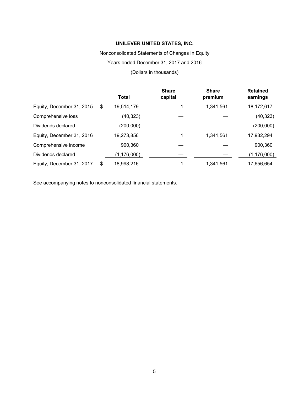Nonconsolidated Statements of Changes In Equity

Years ended December 31, 2017 and 2016

(Dollars in thousands)

|                           | <b>Total</b>     | <b>Share</b><br>capital | <b>Share</b><br>premium | <b>Retained</b><br>earnings |
|---------------------------|------------------|-------------------------|-------------------------|-----------------------------|
| Equity, December 31, 2015 | \$<br>19,514,179 |                         | 1,341,561               | 18,172,617                  |
| Comprehensive loss        | (40, 323)        |                         |                         | (40, 323)                   |
| Dividends declared        | (200,000)        |                         |                         | (200,000)                   |
| Equity, December 31, 2016 | 19,273,856       |                         | 1,341,561               | 17,932,294                  |
| Comprehensive income      | 900,360          |                         |                         | 900,360                     |
| Dividends declared        | (1, 176, 000)    |                         |                         | (1, 176, 000)               |
| Equity, December 31, 2017 | \$<br>18,998,216 |                         | 1,341,561               | 17,656,654                  |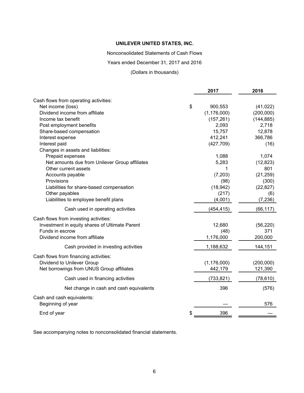Nonconsolidated Statements of Cash Flows

Years ended December 31, 2017 and 2016

(Dollars in thousands)

|                                                | 2017          | 2016       |
|------------------------------------------------|---------------|------------|
| Cash flows from operating activities:          |               |            |
| Net income (loss)                              | \$<br>900,553 | (41, 022)  |
| Dividend income from affiliate                 | (1, 176, 000) | (200,000)  |
| Income tax benefit                             | (157, 261)    | (144, 885) |
| Post employment benefits                       | 2,093         | 2,718      |
| Share-based compensation                       | 15,757        | 12,878     |
| Interest expense                               | 412,241       | 366,786    |
| Interest paid                                  | (427, 709)    | (16)       |
| Changes in assets and liabilities:             |               |            |
| Prepaid expenses                               | 1,088         | 1,074      |
| Net amounts due from Unilever Group affiliates | 5,283         | (12, 823)  |
| Other current assets                           | 1             | 801        |
| Accounts payable                               | (7, 203)      | (21, 259)  |
| Provisions                                     | (98)          | (300)      |
| Liabilities for share-based compensation       | (18, 942)     | (22, 827)  |
| Other payables                                 | (217)         | (6)        |
| Liabilities to employee benefit plans          | (4,001)       | (7, 236)   |
| Cash used in operating activities              | (454, 415)    | (66, 117)  |
| Cash flows from investing activities:          |               |            |
| Investment in equity shares of Ultimate Parent | 12,680        | (56, 220)  |
| Funds in escrow                                | (48)          | 371        |
| Dividend income from affiliate                 | 1,176,000     | 200,000    |
| Cash provided in investing activities          | 1,188,632     | 144,151    |
| Cash flows from financing activities:          |               |            |
| Dividend to Unilever Group                     | (1, 176, 000) | (200,000)  |
| Net borrowings from UNUS Group affiliates      | 442,179       | 121,390    |
|                                                |               |            |
| Cash used in financing activities              | (733, 821)    | (78, 610)  |
| Net change in cash and cash equivalents        | 396           | (576)      |
| Cash and cash equivalents:                     |               |            |
| Beginning of year                              |               | 576        |
| End of year                                    | \$<br>396     |            |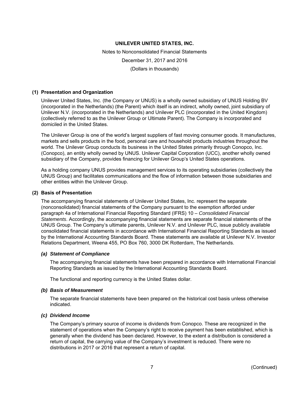Notes to Nonconsolidated Financial Statements December 31, 2017 and 2016 (Dollars in thousands)

#### **(1) Presentation and Organization**

Unilever United States, Inc. (the Company or UNUS) is a wholly owned subsidiary of UNUS Holding BV (incorporated in the Netherlands) (the Parent) which itself is an indirect, wholly owned, joint subsidiary of Unilever N.V. (incorporated in the Netherlands) and Unilever PLC (incorporated in the United Kingdom) (collectively referred to as the Unilever Group or Ultimate Parent). The Company is incorporated and domiciled in the United States.

The Unilever Group is one of the world's largest suppliers of fast moving consumer goods. It manufactures, markets and sells products in the food, personal care and household products industries throughout the world. The Unilever Group conducts its business in the United States primarily through Conopco, Inc. (Conopco), an entity wholly owned by UNUS. Unilever Capital Corporation (UCC), another wholly owned subsidiary of the Company, provides financing for Unilever Group's United States operations.

As a holding company UNUS provides management services to its operating subsidiaries (collectively the UNUS Group) and facilitates communications and the flow of information between those subsidiaries and other entities within the Unilever Group.

#### **(2) Basis of Presentation**

The accompanying financial statements of Unilever United States, Inc. represent the separate (nonconsolidated) financial statements of the Company pursuant to the exemption afforded under paragraph 4a of International Financial Reporting Standard (IFRS) 10 – *Consolidated Financial Statements*. Accordingly, the accompanying financial statements are separate financial statements of the UNUS Group. The Company's ultimate parents, Unilever N.V. and Unilever PLC, issue publicly available consolidated financial statements in accordance with International Financial Reporting Standards as issued by the International Accounting Standards Board. These statements are available at Unilever N.V. Investor Relations Department, Weena 455, PO Box 760, 3000 DK Rotterdam, The Netherlands.

#### *(a) Statement of Compliance*

The accompanying financial statements have been prepared in accordance with International Financial Reporting Standards as issued by the International Accounting Standards Board.

The functional and reporting currency is the United States dollar.

# *(b) Basis of Measurement*

The separate financial statements have been prepared on the historical cost basis unless otherwise indicated.

#### *(c) Dividend Income*

The Company's primary source of income is dividends from Conopco. These are recognized in the statement of operations when the Company's right to receive payment has been established, which is generally when the dividend has been declared. However, to the extent a distribution is considered a return of capital, the carrying value of the Company's investment is reduced. There were no distributions in 2017 or 2016 that represent a return of capital.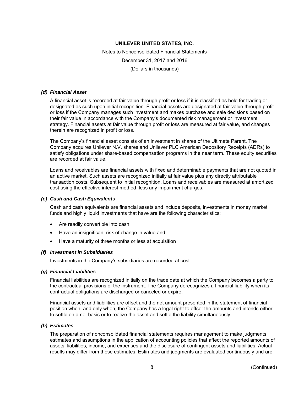Notes to Nonconsolidated Financial Statements December 31, 2017 and 2016 (Dollars in thousands)

#### *(d) Financial Asset*

A financial asset is recorded at fair value through profit or loss if it is classified as held for trading or designated as such upon initial recognition. Financial assets are designated at fair value through profit or loss if the Company manages such investment and makes purchase and sale decisions based on their fair value in accordance with the Company's documented risk management or investment strategy. Financial assets at fair value through profit or loss are measured at fair value, and changes therein are recognized in profit or loss.

The Company's financial asset consists of an investment in shares of the Ultimate Parent. The Company acquires Unilever N.V. shares and Unilever PLC American Depository Receipts (ADRs) to satisfy obligations under share-based compensation programs in the near term. These equity securities are recorded at fair value.

Loans and receivables are financial assets with fixed and determinable payments that are not quoted in an active market. Such assets are recognized initially at fair value plus any directly attributable transaction costs. Subsequent to initial recognition. Loans and receivables are measured at amortized cost using the effective interest method, less any impairment charges.

#### *(e) Cash and Cash Equivalents*

Cash and cash equivalents are financial assets and include deposits, investments in money market funds and highly liquid investments that have are the following characteristics:

- Are readily convertible into cash
- Have an insignificant risk of change in value and
- Have a maturity of three months or less at acquisition

#### *(f) Investment in Subsidiaries*

Investments in the Company's subsidiaries are recorded at cost.

#### *(g) Financial Liabilities*

Financial liabilities are recognized initially on the trade date at which the Company becomes a party to the contractual provisions of the instrument. The Company derecognizes a financial liability when its contractual obligations are discharged or canceled or expire.

Financial assets and liabilities are offset and the net amount presented in the statement of financial position when, and only when, the Company has a legal right to offset the amounts and intends either to settle on a net basis or to realize the asset and settle the liability simultaneously.

#### *(h) Estimates*

The preparation of nonconsolidated financial statements requires management to make judgments, estimates and assumptions in the application of accounting policies that affect the reported amounts of assets, liabilities, income, and expenses and the disclosure of contingent assets and liabilities. Actual results may differ from these estimates. Estimates and judgments are evaluated continuously and are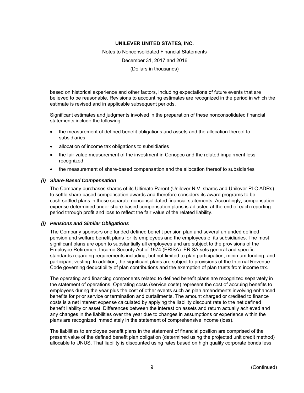Notes to Nonconsolidated Financial Statements

December 31, 2017 and 2016

(Dollars in thousands)

based on historical experience and other factors, including expectations of future events that are believed to be reasonable. Revisions to accounting estimates are recognized in the period in which the estimate is revised and in applicable subsequent periods.

Significant estimates and judgments involved in the preparation of these nonconsolidated financial statements include the following:

- the measurement of defined benefit obligations and assets and the allocation thereof to subsidiaries
- allocation of income tax obligations to subsidiaries
- the fair value measurement of the investment in Conopco and the related impairment loss recognized
- the measurement of share-based compensation and the allocation thereof to subsidiaries

## *(i) Share-Based Compensation*

The Company purchases shares of its Ultimate Parent (Unilever N.V. shares and Unilever PLC ADRs) to settle share based compensation awards and therefore considers its award programs to be cash-settled plans in these separate nonconsolidated financial statements. Accordingly, compensation expense determined under share-based compensation plans is adjusted at the end of each reporting period through profit and loss to reflect the fair value of the related liability.

### *(j) Pensions and Similar Obligations*

The Company sponsors one funded defined benefit pension plan and several unfunded defined pension and welfare benefit plans for its employees and the employees of its subsidiaries. The most significant plans are open to substantially all employees and are subject to the provisions of the Employee Retirement Income Security Act of 1974 (ERISA). ERISA sets general and specific standards regarding requirements including, but not limited to plan participation, minimum funding, and participant vesting. In addition, the significant plans are subject to provisions of the Internal Revenue Code governing deductibility of plan contributions and the exemption of plan trusts from income tax.

The operating and financing components related to defined benefit plans are recognized separately in the statement of operations. Operating costs (service costs) represent the cost of accruing benefits to employees during the year plus the cost of other events such as plan amendments involving enhanced benefits for prior service or termination and curtailments. The amount charged or credited to finance costs is a net interest expense calculated by applying the liability discount rate to the net defined benefit liability or asset. Differences between the interest on assets and return actually achieved and any changes in the liabilities over the year due to changes in assumptions or experience within the plans are recognized immediately in the statement of comprehensive income (loss).

The liabilities to employee benefit plans in the statement of financial position are comprised of the present value of the defined benefit plan obligation (determined using the projected unit credit method) allocable to UNUS. That liability is discounted using rates based on high quality corporate bonds less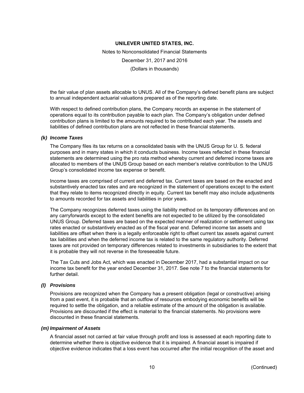Notes to Nonconsolidated Financial Statements December 31, 2017 and 2016 (Dollars in thousands)

the fair value of plan assets allocable to UNUS. All of the Company's defined benefit plans are subject to annual independent actuarial valuations prepared as of the reporting date.

With respect to defined contribution plans, the Company records an expense in the statement of operations equal to its contribution payable to each plan. The Company's obligation under defined contribution plans is limited to the amounts required to be contributed each year. The assets and liabilities of defined contribution plans are not reflected in these financial statements.

#### *(k) Income Taxes*

The Company files its tax returns on a consolidated basis with the UNUS Group for U. S. federal purposes and in many states in which it conducts business. Income taxes reflected in these financial statements are determined using the pro rata method whereby current and deferred income taxes are allocated to members of the UNUS Group based on each member's relative contribution to the UNUS Group's consolidated income tax expense or benefit.

Income taxes are comprised of current and deferred tax. Current taxes are based on the enacted and substantively enacted tax rates and are recognized in the statement of operations except to the extent that they relate to items recognized directly in equity. Current tax benefit may also include adjustments to amounts recorded for tax assets and liabilities in prior years.

The Company recognizes deferred taxes using the liability method on its temporary differences and on any carryforwards except to the extent benefits are not expected to be utilized by the consolidated UNUS Group. Deferred taxes are based on the expected manner of realization or settlement using tax rates enacted or substantively enacted as of the fiscal year end. Deferred income tax assets and liabilities are offset when there is a legally enforceable right to offset current tax assets against current tax liabilities and when the deferred income tax is related to the same regulatory authority. Deferred taxes are not provided on temporary differences related to investments in subsidiaries to the extent that it is probable they will not reverse in the foreseeable future.

The Tax Cuts and Jobs Act, which was enacted in December 2017, had a substantial impact on our income tax benefit for the year ended December 31, 2017. See note 7 to the financial statements for further detail

#### *(l) Provisions*

Provisions are recognized when the Company has a present obligation (legal or constructive) arising from a past event, it is probable that an outflow of resources embodying economic benefits will be required to settle the obligation, and a reliable estimate of the amount of the obligation is available. Provisions are discounted if the effect is material to the financial statements. No provisions were discounted in these financial statements.

#### *(m) Impairment of Assets*

A financial asset not carried at fair value through profit and loss is assessed at each reporting date to determine whether there is objective evidence that it is impaired. A financial asset is impaired if objective evidence indicates that a loss event has occurred after the initial recognition of the asset and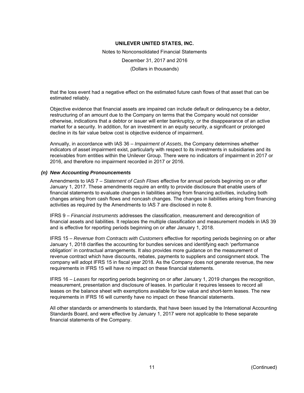Notes to Nonconsolidated Financial Statements December 31, 2017 and 2016 (Dollars in thousands)

that the loss event had a negative effect on the estimated future cash flows of that asset that can be estimated reliably.

Objective evidence that financial assets are impaired can include default or delinquency be a debtor, restructuring of an amount due to the Company on terms that the Company would not consider otherwise, indications that a debtor or issuer will enter bankruptcy, or the disappearance of an active market for a security. In addition, for an investment in an equity security, a significant or prolonged decline in its fair value below cost is objective evidence of impairment.

Annually, in accordance with IAS 36 – *Impairment of Assets*, the Company determines whether indicators of asset impairment exist, particularly with respect to its investments in subsidiaries and its receivables from entities within the Unilever Group. There were no indicators of impairment in 2017 or 2016, and therefore no impairment recorded in 2017 or 2016.

#### *(n) New Accounting Pronouncements*

Amendments to IAS 7 – *Statement of Cash Flows* effective for annual periods beginning on or after January 1, 2017. These amendments require an entity to provide disclosure that enable users of financial statements to evaluate changes in liabilities arising from financing activities, including both changes arising from cash flows and noncash changes. The changes in liabilities arising from financing activities as required by the Amendments to IAS 7 are disclosed in note 8.

IFRS 9 – *Financial Instruments* addresses the classification, measurement and derecognition of financial assets and liabilities. It replaces the multiple classification and measurement models in IAS 39 and is effective for reporting periods beginning on or after January 1, 2018.

IFRS 15 – *Revenue from Contracts with Customers* effective for reporting periods beginning on or after January 1, 2018 clarifies the accounting for bundles services and identifying each 'performance obligation' in contractual arrangements. It also provides more guidance on the measurement of revenue contract which have discounts, rebates, payments to suppliers and consignment stock. The company will adopt IFRS 15 in fiscal year 2018. As the Company does not generate revenue, the new requirements in IFRS 15 will have no impact on these financial statements.

IFRS 16 – *Leases* for reporting periods beginning on or after January 1, 2019 changes the recognition, measurement, presentation and disclosure of leases. In particular it requires lessees to record all leases on the balance sheet with exemptions available for low value and short-term leases. The new requirements in IFRS 16 will currently have no impact on these financial statements.

All other standards or amendments to standards, that have been issued by the International Accounting Standards Board, and were effective by January 1, 2017 were not applicable to these separate financial statements of the Company.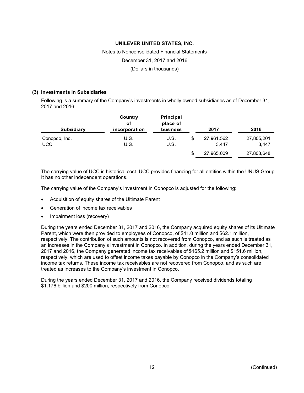# Notes to Nonconsolidated Financial Statements

December 31, 2017 and 2016

(Dollars in thousands)

#### **(3) Investments in Subsidiaries**

Following is a summary of the Company's investments in wholly owned subsidiaries as of December 31, 2017 and 2016:

| <b>Subsidiary</b> | Country<br>оf<br>incorporation | Principal<br>place of<br>business |   | 2017       | 2016       |
|-------------------|--------------------------------|-----------------------------------|---|------------|------------|
| Conopco, Inc.     | U.S.                           | U.S.                              |   | 27,961,562 | 27,805,201 |
| <b>UCC</b>        | U.S.                           | U.S.                              |   | 3.447      | 3,447      |
|                   |                                |                                   | S | 27,965,009 | 27,808,648 |

The carrying value of UCC is historical cost. UCC provides financing for all entities within the UNUS Group. It has no other independent operations.

The carrying value of the Company's investment in Conopco is adjusted for the following:

- Acquisition of equity shares of the Ultimate Parent
- Generation of income tax receivables
- Impairment loss (recovery)

During the years ended December 31, 2017 and 2016, the Company acquired equity shares of its Ultimate Parent, which were then provided to employees of Conopco, of \$41.0 million and \$62.1 million, respectively. The contribution of such amounts is not recovered from Conopco, and as such is treated as an increases in the Company's investment in Conopco. In addition, during the years ended December 31, 2017 and 2016, the Company generated income tax receivables of \$165.2 million and \$151.6 million, respectively, which are used to offset income taxes payable by Conopco in the Company's consolidated income tax returns. These income tax receivables are not recovered from Conopco, and as such are treated as increases to the Company's investment in Conopco.

During the years ended December 31, 2017 and 2016, the Company received dividends totaling \$1.176 billion and \$200 million, respectively from Conopco.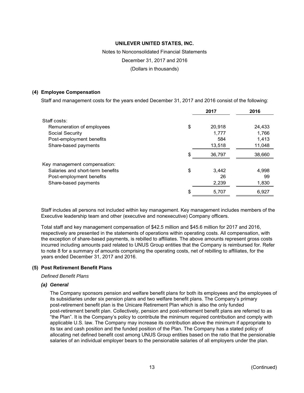Notes to Nonconsolidated Financial Statements

December 31, 2017 and 2016

(Dollars in thousands)

#### **(4) Employee Compensation**

Staff and management costs for the years ended December 31, 2017 and 2016 consist of the following:

|                                  | 2017         | 2016   |
|----------------------------------|--------------|--------|
| Staff.costs:                     |              |        |
| Remuneration of employees        | \$<br>20,918 | 24,433 |
| Social Security                  | 1,777        | 1,766  |
| Post-employment benefits         | 584          | 1,413  |
| Share-based payments             | 13,518       | 11,048 |
|                                  | 36,797       | 38,660 |
| Key management compensation:     |              |        |
| Salaries and short-term benefits | \$<br>3,442  | 4,998  |
| Post-employment benefits         | 26           | 99     |
| Share-based payments             | 2,239        | 1,830  |
|                                  | 5,707        | 6,927  |
|                                  |              |        |

Staff includes all persons not included within key management. Key management includes members of the Executive leadership team and other (executive and nonexecutive) Company officers.

Total staff and key management compensation of \$42.5 million and \$45.6 million for 2017 and 2016, respectively are presented in the statements of operations within operating costs. All compensation, with the exception of share-based payments, is rebilled to affiliates. The above amounts represent gross costs incurred including amounts paid related to UNUS Group entities that the Company is reimbursed for. Refer to note 8 for a summary of amounts comprising the operating costs, net of rebilling to affiliates, for the years ended December 31, 2017 and 2016.

#### **(5) Post Retirement Benefit Plans**

*Defined Benefit Plans* 

#### *(a) General*

The Company sponsors pension and welfare benefit plans for both its employees and the employees of its subsidiaries under six pension plans and two welfare benefit plans. The Company's primary post-retirement benefit plan is the Unicare Retirement Plan which is also the only funded post-retirement benefit plan. Collectively, pension and post-retirement benefit plans are referred to as "the Plan". It is the Company's policy to contribute the minimum required contribution and comply with applicable U.S. law. The Company may increase its contribution above the minimum if appropriate to its tax and cash position and the funded position of the Plan. The Company has a stated policy of allocating net defined benefit cost among UNUS Group entities based on the ratio that the pensionable salaries of an individual employer bears to the pensionable salaries of all employers under the plan.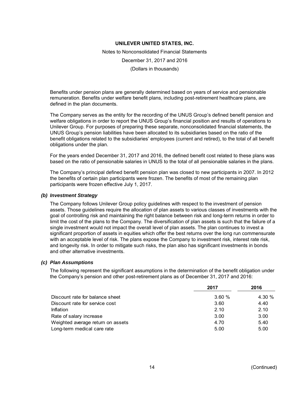Notes to Nonconsolidated Financial Statements December 31, 2017 and 2016 (Dollars in thousands)

Benefits under pension plans are generally determined based on years of service and pensionable remuneration. Benefits under welfare benefit plans, including post-retirement healthcare plans, are defined in the plan documents.

The Company serves as the entity for the recording of the UNUS Group's defined benefit pension and welfare obligations in order to report the UNUS Group's financial position and results of operations to Unilever Group. For purposes of preparing these separate, nonconsolidated financial statements, the UNUS Group's pension liabilities have been allocated to its subsidiaries based on the ratio of the benefit obligations related to the subsidiaries' employees (current and retired), to the total of all benefit obligations under the plan.

For the years ended December 31, 2017 and 2016, the defined benefit cost related to these plans was based on the ratio of pensionable salaries in UNUS to the total of all pensionable salaries in the plans.

The Company's principal defined benefit pension plan was closed to new participants in 2007. In 2012 the benefits of certain plan participants were frozen. The benefits of most of the remaining plan participants were frozen effective July 1, 2017.

#### *(b) Investment Strategy*

The Company follows Unilever Group policy guidelines with respect to the investment of pension assets. Those guidelines require the allocation of plan assets to various classes of investments with the goal of controlling risk and maintaining the right balance between risk and long-term returns in order to limit the cost of the plans to the Company. The diversification of plan assets is such that the failure of a single investment would not impact the overall level of plan assets. The plan continues to invest a significant proportion of assets in equities which offer the best returns over the long run commensurate with an acceptable level of risk. The plans expose the Company to investment risk, interest rate risk, and longevity risk. In order to mitigate such risks, the plan also has significant investments in bonds and other alternative investments.

#### *(c) Plan Assumptions*

The following represent the significant assumptions in the determination of the benefit obligation under the Company's pension and other post-retirement plans as of December 31, 2017 and 2016:

|                                   | 2017  | 2016   |
|-----------------------------------|-------|--------|
| Discount rate for balance sheet   | 3.60% | 4.30 % |
| Discount rate for service cost    | 3.60  | 4.40   |
| Inflation                         | 2.10  | 2.10   |
| Rate of salary increase           | 3.00  | 3.00   |
| Weighted average return on assets | 4.70  | 5.40   |
| Long-term medical care rate       | 5.00  | 5.00   |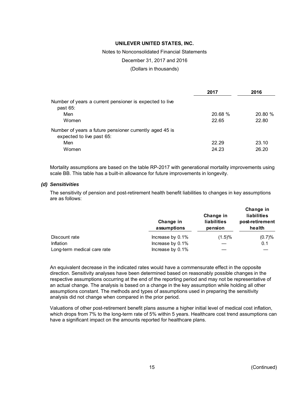Notes to Nonconsolidated Financial Statements

December 31, 2017 and 2016

(Dollars in thousands)

|                                                         | 2017    | 2016   |
|---------------------------------------------------------|---------|--------|
| Number of years a current pensioner is expected to live |         |        |
| past $65$ :                                             |         |        |
| Men                                                     | 20.68 % | 20.80% |
| Women                                                   | 22.65   | 22.80  |
| Number of years a future pensioner currently aged 45 is |         |        |
| expected to live past 65:                               |         |        |
| Men                                                     | 22.29   | 23.10  |
| Women                                                   | 24.23   | 26.20  |

Mortality assumptions are based on the table RP-2017 with generational mortality improvements using scale BB. This table has a built-in allowance for future improvements in longevity.

#### *(d) Sensitivities*

The sensitivity of pension and post-retirement health benefit liabilities to changes in key assumptions are as follows:

|                             | Change in<br>assumptions | Change in<br>liabilities<br>pension | Change in<br>liabilities<br>post-retirement<br>health |
|-----------------------------|--------------------------|-------------------------------------|-------------------------------------------------------|
| Discount rate               | Increase by 0.1%         | (1.5)%                              | (0.7)%                                                |
| <b>Inflation</b>            | Increase by 0.1%         |                                     | 0.1                                                   |
| Long-term medical care rate | Increase by 0.1%         |                                     |                                                       |

An equivalent decrease in the indicated rates would have a commensurate effect in the opposite direction. Sensitivity analyses have been determined based on reasonably possible changes in the respective assumptions occurring at the end of the reporting period and may not be representative of an actual change. The analysis is based on a change in the key assumption while holding all other assumptions constant. The methods and types of assumptions used in preparing the sensitivity analysis did not change when compared in the prior period.

Valuations of other post-retirement benefit plans assume a higher initial level of medical cost inflation, which drops from 7% to the long-term rate of 5% within 5 years. Healthcare cost trend assumptions can have a significant impact on the amounts reported for healthcare plans.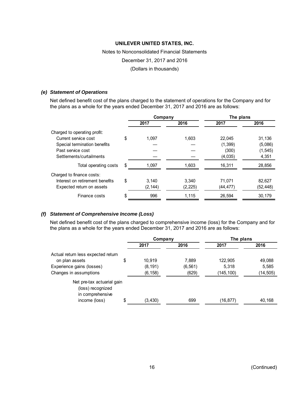# Notes to Nonconsolidated Financial Statements

December 31, 2017 and 2016

(Dollars in thousands)

#### *(e) Statement of Operations*

Net defined benefit cost of the plans charged to the statement of operations for the Company and for the plans as a whole for the years ended December 31, 2017 and 2016 are as follows:

|                                 | Company     |          | The plans |           |  |
|---------------------------------|-------------|----------|-----------|-----------|--|
|                                 | 2017        | 2016     | 2017      | 2016      |  |
| Charged to operating profit:    |             |          |           |           |  |
| Current service cost            | \$<br>1.097 | 1.603    | 22.045    | 31.136    |  |
| Special termination benefits    |             |          | (1,399)   | (5,086)   |  |
| Past service cost               |             |          | (300)     | (1, 545)  |  |
| Settlements/curtailments        |             |          | (4,035)   | 4,351     |  |
| Total operating costs           | 1.097       | 1.603    | 16.311    | 28,856    |  |
| Charged to finance costs:       |             |          |           |           |  |
| Interest on retirement benefits | \$<br>3.140 | 3.340    | 71,071    | 82,627    |  |
| Expected return on assets       | (2, 144)    | (2, 225) | (44, 477) | (52, 448) |  |
| Finance costs                   | 996         | 1.115    | 26,594    | 30,179    |  |

# *(f) Statement of Comprehensive Income (Loss)*

Net defined benefit cost of the plans charged to comprehensive income (loss) for the Company and for the plans as a whole for the years ended December 31, 2017 and 2016 are as follows:

|                                                                     | Company       |          | The plans |           |  |
|---------------------------------------------------------------------|---------------|----------|-----------|-----------|--|
|                                                                     | 2017          | 2016     | 2017      | 2016      |  |
| Actual return less expected return                                  |               |          |           |           |  |
| on plan assets                                                      | \$<br>10.919  | 7,889    | 122,905   | 49,088    |  |
| Experience gains (losses)                                           | (8, 191)      | (6, 561) | 5,318     | 5,585     |  |
| Changes in assumptions                                              | (6, 158)      | (629)    | (145,100) | (14, 505) |  |
| Net pre-tax actuarial gain<br>(loss) recognized<br>in comprehensive |               |          |           |           |  |
| income (loss)                                                       | \$<br>(3,430) | 699      | (16,877)  | 40,168    |  |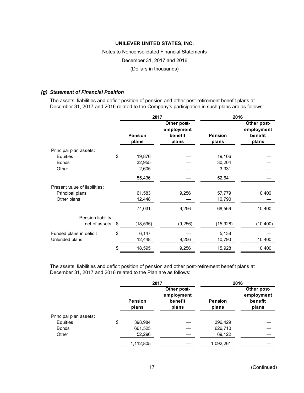# Notes to Nonconsolidated Financial Statements

December 31, 2017 and 2016

(Dollars in thousands)

#### *(g) Statement of Financial Position*

The assets, liabilities and deficit position of pension and other post-retirement benefit plans at December 31, 2017 and 2016 related to the Company's participation in such plans are as follows:

|                               | 2017                    |                                               | 2016                    |                                               |  |
|-------------------------------|-------------------------|-----------------------------------------------|-------------------------|-----------------------------------------------|--|
|                               | <b>Pension</b><br>plans | Other post-<br>employment<br>benefit<br>plans | <b>Pension</b><br>plans | Other post-<br>employment<br>benefit<br>plans |  |
| Principal plan assets:        |                         |                                               |                         |                                               |  |
| Equities                      | \$<br>19,876            |                                               | 19,106                  |                                               |  |
| <b>Bonds</b>                  | 32,955                  |                                               | 30,204                  |                                               |  |
| Other                         | 2,605                   |                                               | 3,331                   |                                               |  |
|                               | 55,436                  |                                               | 52,641                  |                                               |  |
| Present value of liabilities: |                         |                                               |                         |                                               |  |
| Principal plans               | 61,583                  | 9,256                                         | 57,779                  | 10,400                                        |  |
| Other plans                   | 12,448                  |                                               | 10,790                  |                                               |  |
|                               | 74,031                  | 9,256                                         | 68,569                  | 10,400                                        |  |
| Pension liability             |                         |                                               |                         |                                               |  |
| net of assets                 | \$<br>(18, 595)         | (9, 256)                                      | (15, 928)               | (10, 400)                                     |  |
| Funded plans in deficit       | \$<br>6,147             |                                               | 5,138                   |                                               |  |
| Unfunded plans                | 12,448                  | 9,256                                         | 10,790                  | 10,400                                        |  |
|                               | \$<br>18,595            | 9,256                                         | 15,928                  | 10,400                                        |  |

The assets, liabilities and deficit position of pension and other post-retirement benefit plans at December 31, 2017 and 2016 related to the Plan are as follows:

|                        | 2017                    |                                               | 2016                    |                                               |
|------------------------|-------------------------|-----------------------------------------------|-------------------------|-----------------------------------------------|
|                        | <b>Pension</b><br>plans | Other post-<br>employment<br>benefit<br>plans | <b>Pension</b><br>plans | Other post-<br>employment<br>benefit<br>plans |
| Principal plan assets: |                         |                                               |                         |                                               |
| Equities               | \$<br>398,984           |                                               | 396,429                 |                                               |
| <b>Bonds</b>           | 661,525                 |                                               | 626,710                 |                                               |
| Other                  | 52,296                  |                                               | 69,122                  |                                               |
|                        | 1,112,805               |                                               | 1,092,261               |                                               |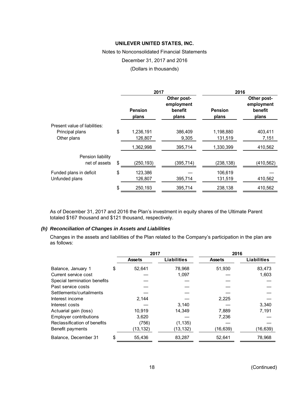Notes to Nonconsolidated Financial Statements

December 31, 2017 and 2016

(Dollars in thousands)

|                               | 2017                    |                                               | 2016                    |                                               |  |
|-------------------------------|-------------------------|-----------------------------------------------|-------------------------|-----------------------------------------------|--|
|                               | <b>Pension</b><br>plans | Other post-<br>employment<br>benefit<br>plans | <b>Pension</b><br>plans | Other post-<br>employment<br>benefit<br>plans |  |
| Present value of liabilities: |                         |                                               |                         |                                               |  |
| Principal plans               | \$<br>1,236,191         | 386,409                                       | 1,198,880               | 403,411                                       |  |
| Other plans                   | 126,807                 | 9,305                                         | 131,519                 | 7,151                                         |  |
|                               | 1,362,998               | 395,714                                       | 1,330,399               | 410,562                                       |  |
| Pension liability             |                         |                                               |                         |                                               |  |
| net of assets                 | \$<br>(250, 193)        | (395, 714)                                    | (238, 138)              | (410, 562)                                    |  |
| Funded plans in deficit       | \$<br>123,386           |                                               | 106,619                 |                                               |  |
| Unfunded plans                | 126,807                 | 395,714                                       | 131,519                 | 410,562                                       |  |
|                               | \$<br>250,193           | 395,714                                       | 238,138                 | 410,562                                       |  |
|                               |                         |                                               |                         |                                               |  |

As of December 31, 2017 and 2016 the Plan's investment in equity shares of the Ultimate Parent totaled \$167 thousand and \$121 thousand, respectively.

## *(h) Reconciliation of Changes in Assets and Liabilities*

Changes in the assets and liabilities of the Plan related to the Company's participation in the plan are as follows:

|                               |    | 2017          |                    | 2016          |                    |  |
|-------------------------------|----|---------------|--------------------|---------------|--------------------|--|
|                               |    | <b>Assets</b> | <b>Liabilities</b> | <b>Assets</b> | <b>Liabilities</b> |  |
| Balance, January 1            | \$ | 52.641        | 78,968             | 51,930        | 83,473             |  |
| Current service cost          |    |               | 1,097              |               | 1,603              |  |
| Special termination benefits  |    |               |                    |               |                    |  |
| Past service costs            |    |               |                    |               |                    |  |
| Settlements/curtailments      |    |               |                    |               |                    |  |
| Interest income               |    | 2,144         |                    | 2,225         |                    |  |
| Interest costs                |    |               | 3.140              |               | 3,340              |  |
| Actuarial gain (loss)         |    | 10,919        | 14,349             | 7,889         | 7,191              |  |
| <b>Employer contributions</b> |    | 3.620         |                    | 7,236         |                    |  |
| Reclassification of benefits  |    | (756)         | (1, 135)           |               |                    |  |
| Benefit payments              |    | (13, 132)     | (13, 132)          | (16, 639)     | (16, 639)          |  |
| Balance, December 31          | S  | 55,436        | 83,287             | 52,641        | 78,968             |  |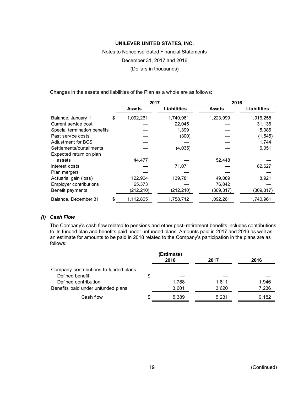## Notes to Nonconsolidated Financial Statements

December 31, 2017 and 2016

(Dollars in thousands)

Changes in the assets and liabilities of the Plan as a whole are as follows:

|                               | 2017            |             | 2016          |                    |  |
|-------------------------------|-----------------|-------------|---------------|--------------------|--|
|                               | <b>Assets</b>   | Liabilities | <b>Assets</b> | <b>Liabilities</b> |  |
| Balance, January 1            | \$<br>1,092,261 | 1,740,961   | 1,223,999     | 1,916,258          |  |
| Current service cost          |                 | 22,045      |               | 31,136             |  |
| Special termination benefits  |                 | 1,399       |               | 5,086              |  |
| Past service costs            |                 | (300)       |               | (1, 545)           |  |
| Adjustment for BCS            |                 |             |               | 1,744              |  |
| Settlements/curtailments      |                 | (4,035)     |               | 6,051              |  |
| Expected return on plan       |                 |             |               |                    |  |
| assets                        | 44,477          |             | 52,448        |                    |  |
| Interest costs                |                 | 71,071      |               | 82,627             |  |
| Plan mergers                  |                 |             |               |                    |  |
| Actuarial gain (loss)         | 122,904         | 139,781     | 49,089        | 8,921              |  |
| <b>Employer contributions</b> | 65,373          |             | 76,042        |                    |  |
| Benefit payments              | (212, 210)      | (212, 210)  | (309, 317)    | (309, 317)         |  |
| Balance, December 31          | \$<br>1,112,805 | 1,758,712   | 1,092,261     | 1,740,961          |  |

# *(i) Cash Flow*

The Company's cash flow related to pensions and other post–retirement benefits includes contributions to its funded plan and benefits paid under unfunded plans. Amounts paid in 2017 and 2016 as well as an estimate for amounts to be paid in 2018 related to the Company's participation in the plans are as follows:

|                                        | (Estimate)<br>2018 | 2017  | 2016  |
|----------------------------------------|--------------------|-------|-------|
| Company contributions to funded plans: |                    |       |       |
| Defined benefit                        | \$                 |       |       |
| Defined contribution                   | 1,788              | 1.611 | 1,946 |
| Benefits paid under unfunded plans     | 3,601              | 3,620 | 7,236 |
| Cash flow                              | \$<br>5,389        | 5,231 | 9,182 |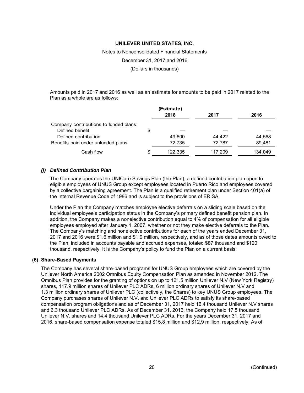Notes to Nonconsolidated Financial Statements

December 31, 2017 and 2016

(Dollars in thousands)

Amounts paid in 2017 and 2016 as well as an estimate for amounts to be paid in 2017 related to the Plan as a whole are as follows:

|                                        | (Estimate)<br>2018 | 2017    | 2016    |
|----------------------------------------|--------------------|---------|---------|
| Company contributions to funded plans: |                    |         |         |
| Defined benefit                        | \$                 |         |         |
| Defined contribution                   | 49.600             | 44,422  | 44,568  |
| Benefits paid under unfunded plans     | 72,735             | 72,787  | 89,481  |
| Cash flow                              | \$<br>122.335      | 117.209 | 134,049 |

#### *(j) Defined Contribution Plan*

The Company operates the UNICare Savings Plan (the Plan), a defined contribution plan open to eligible employees of UNUS Group except employees located in Puerto Rico and employees covered by a collective bargaining agreement. The Plan is a qualified retirement plan under Section 401(a) of the Internal Revenue Code of 1986 and is subject to the provisions of ERISA.

Under the Plan the Company matches employee elective deferrals on a sliding scale based on the individual employee's participation status in the Company's primary defined benefit pension plan. In addition, the Company makes a nonelective contribution equal to 4% of compensation for all eligible employees employed after January 1, 2007, whether or not they make elective deferrals to the Plan. The Company's matching and nonelective contributions for each of the years ended December 31, 2017 and 2016 were \$1.6 million and \$1.9 million, respectively, and as of those dates amounts owed to the Plan, included in accounts payable and accrued expenses, totaled \$87 thousand and \$120 thousand, respectively. It is the Company's policy to fund the Plan on a current basis.

#### **(6) Share-Based Payments**

The Company has several share-based programs for UNUS Group employees which are covered by the Unilever North America 2002 Omnibus Equity Compensation Plan as amended in November 2012. The Omnibus Plan provides for the granting of options on up to 121.5 million Unilever N.V (New York Registry) shares, 117.9 million shares of Unilever PLC ADRs, 6 million ordinary shares of Unilever N.V and 1.3 million ordinary shares of Unilever PLC (collectively, the Shares) to key UNUS Group employees. The Company purchases shares of Unilever N.V. and Unilever PLC ADRs to satisfy its share-based compensation program obligations and as of December 31, 2017 held 16.4 thousand Unilever N.V shares and 6.3 thousand Unilever PLC ADRs. As of December 31, 2016, the Company held 17.5 thousand Unilever N.V. shares and 14.4 thousand Unilever PLC ADRs. For the years December 31, 2017 and 2016, share-based compensation expense totaled \$15.8 million and \$12.9 million, respectively. As of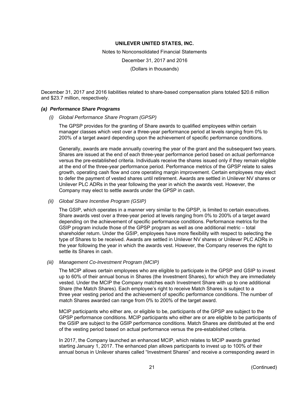Notes to Nonconsolidated Financial Statements December 31, 2017 and 2016 (Dollars in thousands)

December 31, 2017 and 2016 liabilities related to share-based compensation plans totaled \$20.6 million and \$23.7 million, respectively.

#### *(a) Performance Share Programs*

*(i) Global Performance Share Program (GPSP)* 

The GPSP provides for the granting of Share awards to qualified employees within certain manager classes which vest over a three-year performance period at levels ranging from 0% to 200% of a target award depending upon the achievement of specific performance conditions.

Generally, awards are made annually covering the year of the grant and the subsequent two years. Shares are issued at the end of each three-year performance period based on actual performance versus the pre-established criteria. Individuals receive the shares issued only if they remain eligible at the end of the three-year performance period. Performance metrics of the GPSP relate to sales growth, operating cash flow and core operating margin improvement. Certain employees may elect to defer the payment of vested shares until retirement. Awards are settled in Unilever NV shares or Unilever PLC ADRs in the year following the year in which the awards vest. However, the Company may elect to settle awards under the GPSP in cash.

#### *(ii) Global Share Incentive Program (GSIP)*

The GSIP, which operates in a manner very similar to the GPSP, is limited to certain executives. Share awards vest over a three-year period at levels ranging from 0% to 200% of a target award depending on the achievement of specific performance conditions. Performance metrics for the GSIP program include those of the GPSP program as well as one additional metric – total shareholder return. Under the GSIP, employees have more flexibility with respect to selecting the type of Shares to be received. Awards are settled in Unilever NV shares or Unilever PLC ADRs in the year following the year in which the awards vest. However, the Company reserves the right to settle its Shares in cash.

#### *(iii) Management Co-Investment Program (MCIP)*

The MCIP allows certain employees who are eligible to participate in the GPSP and GSIP to invest up to 60% of their annual bonus in Shares (the Investment Shares), for which they are immediately vested. Under the MCIP the Company matches each Investment Share with up to one additional Share (the Match Shares). Each employee's right to receive Match Shares is subject to a three year vesting period and the achievement of specific performance conditions. The number of match Shares awarded can range from 0% to 200% of the target award.

MCIP participants who either are, or eligible to be, participants of the GPSP are subject to the GPSP performance conditions. MCIP participants who either are or are eligible to be participants of the GSIP are subject to the GSIP performance conditions. Match Shares are distributed at the end of the vesting period based on actual performance versus the pre-established criteria.

In 2017, the Company launched an enhanced MCIP, which relates to MCIP awards granted starting January 1, 2017. The enhanced plan allows participants to invest up to 100% of their annual bonus in Unilever shares called "Investment Shares" and receive a corresponding award in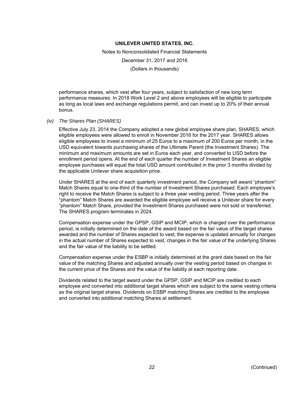Notes to Nonconsolidated Financial Statements

December 31, 2017 and 2016

(Dollars in thousands)

performance shares, which vest after four years, subject to satisfaction of new long term performance measures. In 2018 Work Level 2 and above employees will be eligible to participate as long as local laws and exchange regulations permit, and can invest up to 20% of their annual bonus.

#### *(iv) The Shares Plan (SHARES)*

Effective July 23, 2014 the Company adopted a new global employee share plan, SHARES, which eligible employees were allowed to enroll in November 2016 for the 2017 year. SHARES allows eligible employees to invest a minimum of 25 Euros to a maximum of 200 Euros per month, in the USD equivalent towards purchasing shares of the Ultimate Parent (the Investment Shares). The minimum and maximum amounts are set in Euros each year, and converted to USD before the enrollment period opens. At the end of each quarter the number of Investment Shares an eligible employee purchases will equal the total USD amount contributed in the prior 3 months divided by the applicable Unilever share acquisition price.

Under SHARES at the end of each quarterly investment period, the Company will award "phantom" Match Shares equal to one-third of the number of Investment Shares purchased. Each employee's right to receive the Match Shares is subject to a three year vesting period. Three years after the "phantom" Match Shares are awarded the eligible employee will receive a Unilever share for every "phantom" Match Share, provided the Investment Shares purchased were not sold or transferred. The SHARES program terminates in 2024.

Compensation expense under the GPSP, GSIP and MCIP, which is charged over the performance period, is initially determined on the date of the award based on the fair value of the target shares awarded and the number of Shares expected to vest; the expense is updated annually for changes in the actual number of Shares expected to vest, changes in the fair value of the underlying Shares and the fair value of the liability to be settled.

Compensation expense under the ESBP is initially determined at the grant date based on the fair value of the matching Shares and adjusted annually over the vesting period based on changes in the current price of the Shares and the value of the liability at each reporting date.

Dividends related to the target award under the GPSP, GSIP and MCIP are credited to each employee and converted into additional target shares which are subject to the same vesting criteria as the original target shares. Dividends on ESBP matching Shares are credited to the employee and converted into additional matching Shares at settlement.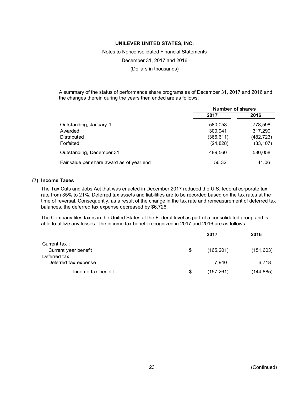Notes to Nonconsolidated Financial Statements

December 31, 2017 and 2016

(Dollars in thousands)

A summary of the status of performance share programs as of December 31, 2017 and 2016 and the changes therein during the years then ended are as follows:

|                                           | <b>Number of shares</b> |            |  |
|-------------------------------------------|-------------------------|------------|--|
|                                           | 2017                    | 2016       |  |
| Outstanding, January 1                    | 580,058                 | 778,598    |  |
| Awarded                                   | 300.941                 | 317,290    |  |
| Distributed                               | (366, 611)              | (482, 723) |  |
| Forfeited                                 | (24, 828)               | (33, 107)  |  |
| Outstanding, December 31,                 | 489,560                 | 580,058    |  |
| Fair value per share award as of year end | 56.32                   | 41.06      |  |

### **(7) Income Taxes**

The Tax Cuts and Jobs Act that was enacted in December 2017 reduced the U.S. federal corporate tax rate from 35% to 21%. Deferred tax assets and liabilities are to be recorded based on the tax rates at the time of reversal. Consequently, as a result of the change in the tax rate and remeasurement of deferred tax balances, the deferred tax expense decreased by \$6,726.

The Company files taxes in the United States at the Federal level as part of a consolidated group and is able to utilize any losses. The income tax benefit recognized in 2017 and 2016 are as follows:

|                      |    | 2017       | 2016       |  |
|----------------------|----|------------|------------|--|
| Current tax:         |    |            |            |  |
| Current year benefit | \$ | (165, 201) | (151, 603) |  |
| Deferred tax:        |    |            |            |  |
| Deferred tax expense |    | 7,940      | 6,718      |  |
| Income tax benefit   | S  | (157,261)  | (144,885)  |  |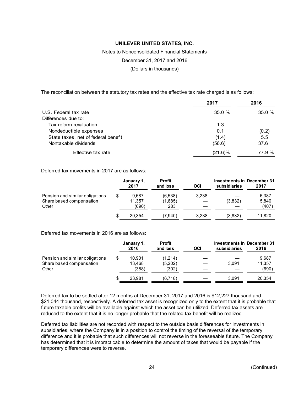Notes to Nonconsolidated Financial Statements

December 31, 2017 and 2016

(Dollars in thousands)

The reconciliation between the statutory tax rates and the effective tax rate charged is as follows:

|                                     | 2017    | 2016   |
|-------------------------------------|---------|--------|
| U.S. Federal tax rate               | 35.0%   | 35.0%  |
| Differences due to:                 |         |        |
| Tax reform revaluation              | 1.3     |        |
| Nondeductible expenses              | 0.1     | (0.2)  |
| State taxes, net of federal benefit | (1.4)   | 5.5    |
| Nontaxable dividends                | (56.6)  | 37.6   |
| Effective tax rate                  | (21.6)% | 77.9 % |

Deferred tax movements in 2017 are as follows:

|                                                                      | January 1,<br>2017             | <b>Profit</b><br>and loss | OCI   | <b>Investments in December 31.</b><br>subsidiaries | 2017                    |
|----------------------------------------------------------------------|--------------------------------|---------------------------|-------|----------------------------------------------------|-------------------------|
| Pension and similar obligations<br>Share based compensation<br>Other | \$<br>9.687<br>11.357<br>(690) | (6,538)<br>(1,685)<br>283 | 3,238 | (3,832)                                            | 6,387<br>5,840<br>(407) |
|                                                                      | \$<br>20.354                   | (7.940)                   | 3.238 | (3,832)                                            | 11.820                  |

Deferred tax movements in 2016 are as follows:

|                                                                      | January 1,<br>2016              | <b>Profit</b><br>and loss   | OCI | subsidiaries | <b>Investments in December 31.</b><br>2016 |
|----------------------------------------------------------------------|---------------------------------|-----------------------------|-----|--------------|--------------------------------------------|
| Pension and similar obligations<br>Share based compensation<br>Other | \$<br>10.901<br>13.468<br>(388) | (1,214)<br>(5,202)<br>(302) |     | 3.091        | 9,687<br>11,357<br>(690)                   |
|                                                                      | \$<br>23.981                    | (6,718)                     |     | 3.091        | 20.354                                     |

Deferred tax to be settled after 12 months at December 31, 2017 and 2016 is \$12,227 thousand and \$21,044 thousand, respectively. A deferred tax asset is recognized only to the extent that it is probable that future taxable profits will be available against which the asset can be utilized. Deferred tax assets are reduced to the extent that it is no longer probable that the related tax benefit will be realized.

Deferred tax liabilities are not recorded with respect to the outside basis differences for investments in subsidiaries, where the Company is in a position to control the timing of the reversal of the temporary difference and it is probable that such differences will not reverse in the foreseeable future. The Company has determined that it is impracticable to determine the amount of taxes that would be payable if the temporary differences were to reverse.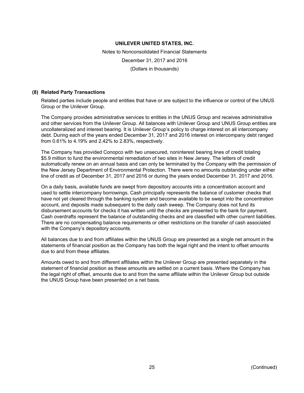Notes to Nonconsolidated Financial Statements December 31, 2017 and 2016 (Dollars in thousands)

#### **(8) Related Party Transactions**

Related parties include people and entities that have or are subject to the influence or control of the UNUS Group or the Unilever Group.

The Company provides administrative services to entities in the UNUS Group and receives administrative and other services from the Unilever Group. All balances with Unilever Group and UNUS Group entities are uncollateralized and interest bearing. It is Unilever Group's policy to charge interest on all intercompany debt. During each of the years ended December 31, 2017 and 2016 interest on intercompany debt ranged from 0.61% to 4.19% and 2.42% to 2.83%, respectively.

The Company has provided Conopco with two unsecured, noninterest bearing lines of credit totaling \$5.9 million to fund the environmental remediation of two sites in New Jersey. The letters of credit automatically renew on an annual basis and can only be terminated by the Company with the permission of the New Jersey Department of Environmental Protection. There were no amounts outstanding under either line of credit as of December 31, 2017 and 2016 or during the years ended December 31, 2017 and 2016.

On a daily basis, available funds are swept from depository accounts into a concentration account and used to settle intercompany borrowings. Cash principally represents the balance of customer checks that have not yet cleared through the banking system and become available to be swept into the concentration account, and deposits made subsequent to the daily cash sweep. The Company does not fund its disbursement accounts for checks it has written until the checks are presented to the bank for payment. Cash overdrafts represent the balance of outstanding checks and are classified with other current liabilities. There are no compensating balance requirements or other restrictions on the transfer of cash associated with the Company's depository accounts.

All balances due to and from affiliates within the UNUS Group are presented as a single net amount in the statements of financial position as the Company has both the legal right and the intent to offset amounts due to and from these affiliates.

Amounts owed to and from different affiliates within the Unilever Group are presented separately in the statement of financial position as these amounts are settled on a current basis. Where the Company has the legal right of offset, amounts due to and from the same affiliate within the Unilever Group but outside the UNUS Group have been presented on a net basis.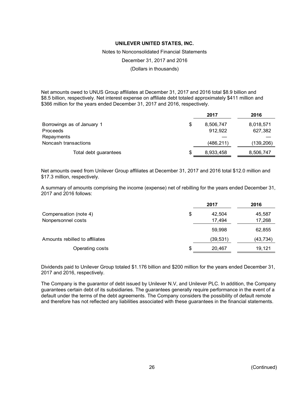Notes to Nonconsolidated Financial Statements

December 31, 2017 and 2016

(Dollars in thousands)

Net amounts owed to UNUS Group affiliates at December 31, 2017 and 2016 total \$8.9 billion and \$8.5 billion, respectively. Net interest expense on affiliate debt totaled approximately \$411 million and \$366 million for the years ended December 31, 2017 and 2016, respectively.

|                            | 2017            | 2016       |
|----------------------------|-----------------|------------|
| Borrowings as of January 1 | \$<br>8,506,747 | 8,018,571  |
| Proceeds                   | 912,922         | 627,382    |
| Repayments                 |                 |            |
| Noncash transactions       | (486, 211)      | (139, 206) |
| Total debt guarantees      | \$<br>8,933,458 | 8,506,747  |

Net amounts owed from Unilever Group affiliates at December 31, 2017 and 2016 total \$12.0 million and \$17.3 million, respectively.

A summary of amounts comprising the income (expense) net of rebilling for the years ended December 31, 2017 and 2016 follows:

|                                | 2017         | 2016     |
|--------------------------------|--------------|----------|
| Compensation (note 4)          | \$<br>42.504 | 45,587   |
| Nonpersonnel costs             | 17,494       | 17,268   |
|                                | 59,998       | 62,855   |
| Amounts rebilled to affiliates | (39, 531)    | (43,734) |
| Operating costs                | \$<br>20,467 | 19,121   |

Dividends paid to Unilever Group totaled \$1.176 billion and \$200 million for the years ended December 31, 2017 and 2016, respectively.

The Company is the guarantor of debt issued by Unilever N.V, and Unilever PLC. In addition, the Company guarantees certain debt of its subsidiaries. The guarantees generally require performance in the event of a default under the terms of the debt agreements. The Company considers the possibility of default remote and therefore has not reflected any liabilities associated with these guarantees in the financial statements.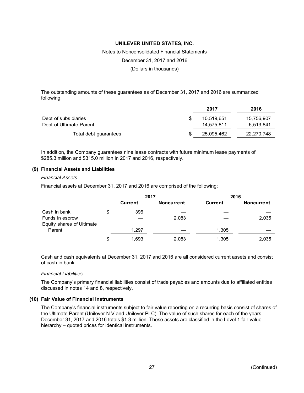Notes to Nonconsolidated Financial Statements

December 31, 2017 and 2016

(Dollars in thousands)

The outstanding amounts of these guarantees as of December 31, 2017 and 2016 are summarized following:

|                         | 2017       | 2016       |
|-------------------------|------------|------------|
| Debt of subsidiaries    | 10.519.651 | 15,756,907 |
| Debt of Ultimate Parent | 14.575.811 | 6,513,841  |
| Total debt guarantees   | 25,095,462 | 22,270,748 |

In addition, the Company guarantees nine lease contracts with future minimum lease payments of \$285.3 million and \$315.0 million in 2017 and 2016, respectively.

#### **(9) Financial Assets and Liabilities**

#### *Financial Assets*

Financial assets at December 31, 2017 and 2016 are comprised of the following:

|                           | 2017        |                   | 2016           |                   |
|---------------------------|-------------|-------------------|----------------|-------------------|
|                           | Current     | <b>Noncurrent</b> | <b>Current</b> | <b>Noncurrent</b> |
| Cash in bank              | \$<br>396   |                   |                |                   |
| Funds in escrow           |             | 2,083             |                | 2,035             |
| Equity shares of Ultimate |             |                   |                |                   |
| Parent                    | 1.297       |                   | 1,305          |                   |
|                           | \$<br>1,693 | 2,083             | 1,305          | 2,035             |

Cash and cash equivalents at December 31, 2017 and 2016 are all considered current assets and consist of cash in bank.

#### *Financial Liabilities*

The Company's primary financial liabilities consist of trade payables and amounts due to affiliated entities discussed in notes 14 and 8, respectively.

#### **(10) Fair Value of Financial Instruments**

The Company's financial instruments subject to fair value reporting on a recurring basis consist of shares of the Ultimate Parent (Unilever N.V and Unilever PLC). The value of such shares for each of the years December 31, 2017 and 2016 totals \$1.3 million. These assets are classified in the Level 1 fair value hierarchy – quoted prices for identical instruments.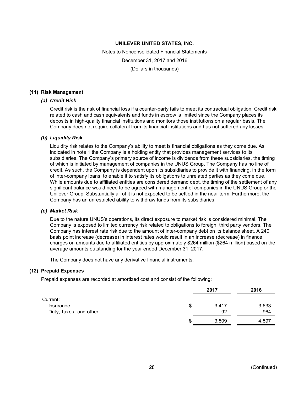Notes to Nonconsolidated Financial Statements December 31, 2017 and 2016 (Dollars in thousands)

#### **(11) Risk Management**

#### *(a) Credit Risk*

Credit risk is the risk of financial loss if a counter-party fails to meet its contractual obligation. Credit risk related to cash and cash equivalents and funds in escrow is limited since the Company places its deposits in high-quality financial institutions and monitors those institutions on a regular basis. The Company does not require collateral from its financial institutions and has not suffered any losses.

#### *(b) Liquidity Risk*

Liquidity risk relates to the Company's ability to meet is financial obligations as they come due. As indicated in note 1 the Company is a holding entity that provides management services to its subsidiaries. The Company's primary source of income is dividends from these subsidiaries, the timing of which is initiated by management of companies in the UNUS Group. The Company has no line of credit. As such, the Company is dependent upon its subsidiaries to provide it with financing, in the form of inter-company loans, to enable it to satisfy its obligations to unrelated parties as they come due. While amounts due to affiliated entities are considered demand debt, the timing of the settlement of any significant balance would need to be agreed with management of companies in the UNUS Group or the Unilever Group. Substantially all of it is not expected to be settled in the near term. Furthermore, the Company has an unrestricted ability to withdraw funds from its subsidiaries.

#### *(c) Market Risk*

Due to the nature UNUS's operations, its direct exposure to market risk is considered minimal. The Company is exposed to limited currency risk related to obligations to foreign, third party vendors. The Company has interest rate risk due to the amount of inter-company debt on its balance sheet. A 240 basis point increase (decrease) in interest rates would result in an increase (decrease) in finance charges on amounts due to affiliated entities by approximately \$264 million (\$264 million) based on the average amounts outstanding for the year ended December 31, 2017.

The Company does not have any derivative financial instruments.

#### **(12) Prepaid Expenses**

Prepaid expenses are recorded at amortized cost and consist of the following:

|                        |   | 2017  | 2016  |
|------------------------|---|-------|-------|
| Current:               |   |       |       |
| Insurance              | S | 3,417 | 3,633 |
| Duty, taxes, and other |   | 92    | 964   |
|                        | S | 3,509 | 4,597 |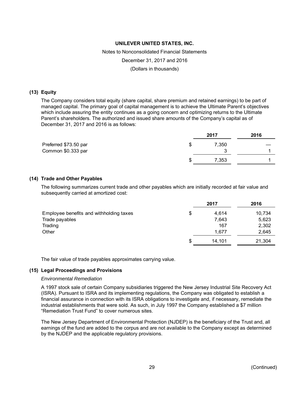# Notes to Nonconsolidated Financial Statements December 31, 2017 and 2016

(Dollars in thousands)

# **(13) Equity**

The Company considers total equity (share capital, share premium and retained earnings) to be part of managed capital. The primary goal of capital management is to achieve the Ultimate Parent's objectives which include assuring the entity continues as a going concern and optimizing returns to the Ultimate Parent's shareholders. The authorized and issued share amounts of the Company's capital as of December 31, 2017 and 2016 is as follows:

|                       | 2017  | 2016 |
|-----------------------|-------|------|
| Preferred \$73.50 par | 7.350 |      |
| Common \$0.333 par    |       |      |
|                       | 7,353 |      |
|                       |       |      |

## **(14) Trade and Other Payables**

The following summarizes current trade and other payables which are initially recorded at fair value and subsequently carried at amortized cost:

|                                         | 2017         | 2016   |
|-----------------------------------------|--------------|--------|
| Employee benefits and withholding taxes | \$<br>4.614  | 10,734 |
| Trade payables                          | 7,643        | 5,623  |
| Trading                                 | 167          | 2,302  |
| Other                                   | 1,677        | 2,645  |
|                                         | \$<br>14,101 | 21,304 |

The fair value of trade payables approximates carrying value.

### **(15) Legal Proceedings and Provisions**

#### *Environmental Remediation*

A 1997 stock sale of certain Company subsidiaries triggered the New Jersey Industrial Site Recovery Act (ISRA). Pursuant to ISRA and its implementing regulations, the Company was obligated to establish a financial assurance in connection with its ISRA obligations to investigate and, if necessary, remediate the industrial establishments that were sold. As such, in July 1997 the Company established a \$7 million "Remediation Trust Fund" to cover numerous sites.

The New Jersey Department of Environmental Protection (NJDEP) is the beneficiary of the Trust and, all earnings of the fund are added to the corpus and are not available to the Company except as determined by the NJDEP and the applicable regulatory provisions.